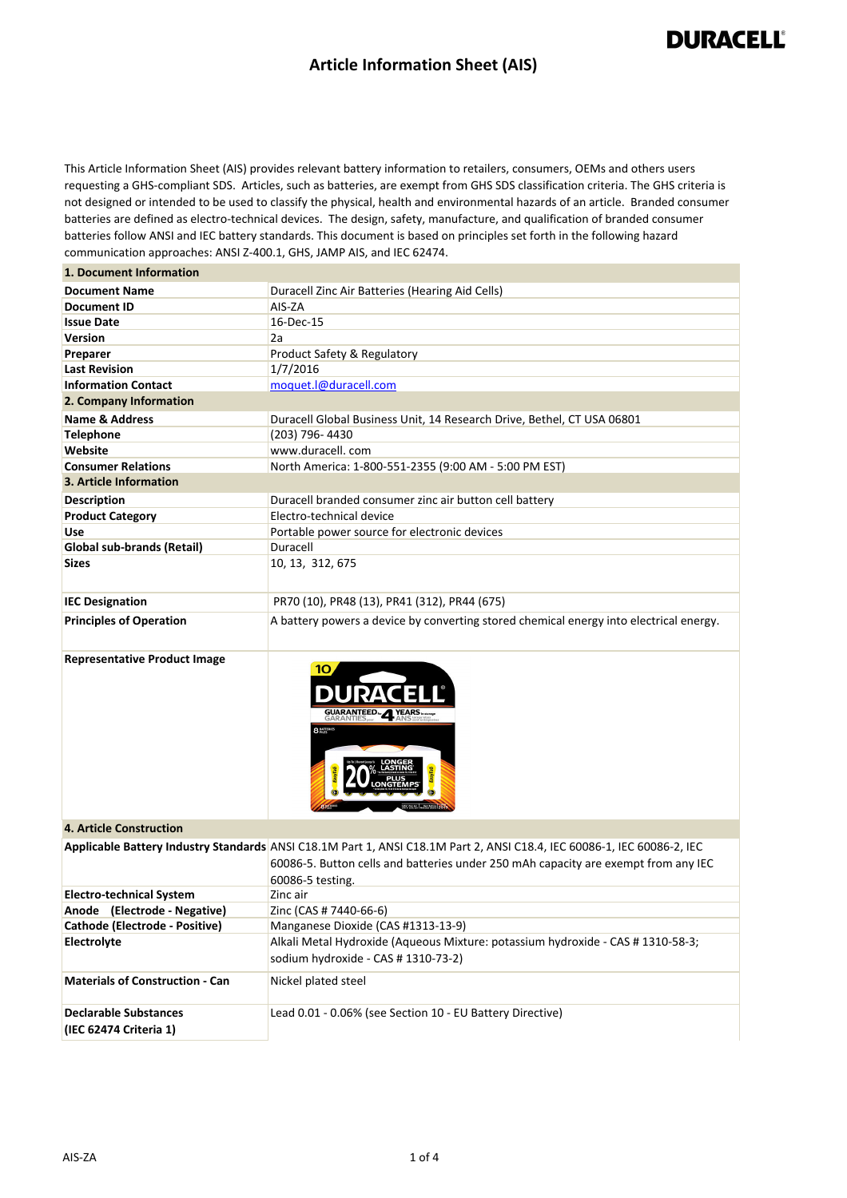### **Article Information Sheet (AIS)**

## **DURACELL®**

This Article Information Sheet (AIS) provides relevant battery information to retailers, consumers, OEMs and others users requesting a GHS-compliant SDS. Articles, such as batteries, are exempt from GHS SDS classification criteria. The GHS criteria is not designed or intended to be used to classify the physical, health and environmental hazards of an article. Branded consumer batteries are defined as electro-technical devices. The design, safety, manufacture, and qualification of branded consumer batteries follow ANSI and IEC battery standards. This document is based on principles set forth in the following hazard communication approaches: ANSI Z-400.1, GHS, JAMP AIS, and IEC 62474.

#### **1. Document Information**

| <b>Document Name</b>           | Duracell Zinc Air Batteries (Hearing Aid Cells)                                        |
|--------------------------------|----------------------------------------------------------------------------------------|
| <b>Document ID</b>             | AIS-ZA                                                                                 |
| <b>Issue Date</b>              | 16-Dec-15                                                                              |
| <b>Version</b>                 | 2a                                                                                     |
| Preparer                       | Product Safety & Regulatory                                                            |
| <b>Last Revision</b>           | 1/7/2016                                                                               |
| <b>Information Contact</b>     | moquet.l@duracell.com                                                                  |
| 2. Company Information         |                                                                                        |
| Name & Address                 | Duracell Global Business Unit, 14 Research Drive, Bethel, CT USA 06801                 |
| <b>Telephone</b>               | (203) 796-4430                                                                         |
| Website                        | www.duracell.com                                                                       |
| <b>Consumer Relations</b>      | North America: 1-800-551-2355 (9:00 AM - 5:00 PM EST)                                  |
| 3. Article Information         |                                                                                        |
| <b>Description</b>             | Duracell branded consumer zinc air button cell battery                                 |
| <b>Product Category</b>        | Electro-technical device                                                               |
| Use                            | Portable power source for electronic devices                                           |
| Global sub-brands (Retail)     | Duracell                                                                               |
| <b>Sizes</b>                   | 10, 13, 312, 675                                                                       |
| <b>IEC Designation</b>         | PR70 (10), PR48 (13), PR41 (312), PR44 (675)                                           |
| <b>Principles of Operation</b> | A battery powers a device by converting stored chemical energy into electrical energy. |

**Representative Product Image** 



#### **4. Article Construction**

|                                                        | Applicable Battery Industry Standards ANSI C18.1M Part 1, ANSI C18.1M Part 2, ANSI C18.4, IEC 60086-1, IEC 60086-2, IEC<br>60086-5. Button cells and batteries under 250 mAh capacity are exempt from any IEC<br>60086-5 testing. |
|--------------------------------------------------------|-----------------------------------------------------------------------------------------------------------------------------------------------------------------------------------------------------------------------------------|
| <b>Electro-technical System</b>                        | Zinc air                                                                                                                                                                                                                          |
| Anode (Electrode - Negative)                           | Zinc (CAS # 7440-66-6)                                                                                                                                                                                                            |
| Cathode (Electrode - Positive)                         | Manganese Dioxide (CAS #1313-13-9)                                                                                                                                                                                                |
| <b>Electrolyte</b>                                     | Alkali Metal Hydroxide (Aqueous Mixture: potassium hydroxide - CAS # 1310-58-3;<br>sodium hydroxide - CAS # 1310-73-2)                                                                                                            |
| <b>Materials of Construction - Can</b>                 | Nickel plated steel                                                                                                                                                                                                               |
| <b>Declarable Substances</b><br>(IEC 62474 Criteria 1) | Lead 0.01 - 0.06% (see Section 10 - EU Battery Directive)                                                                                                                                                                         |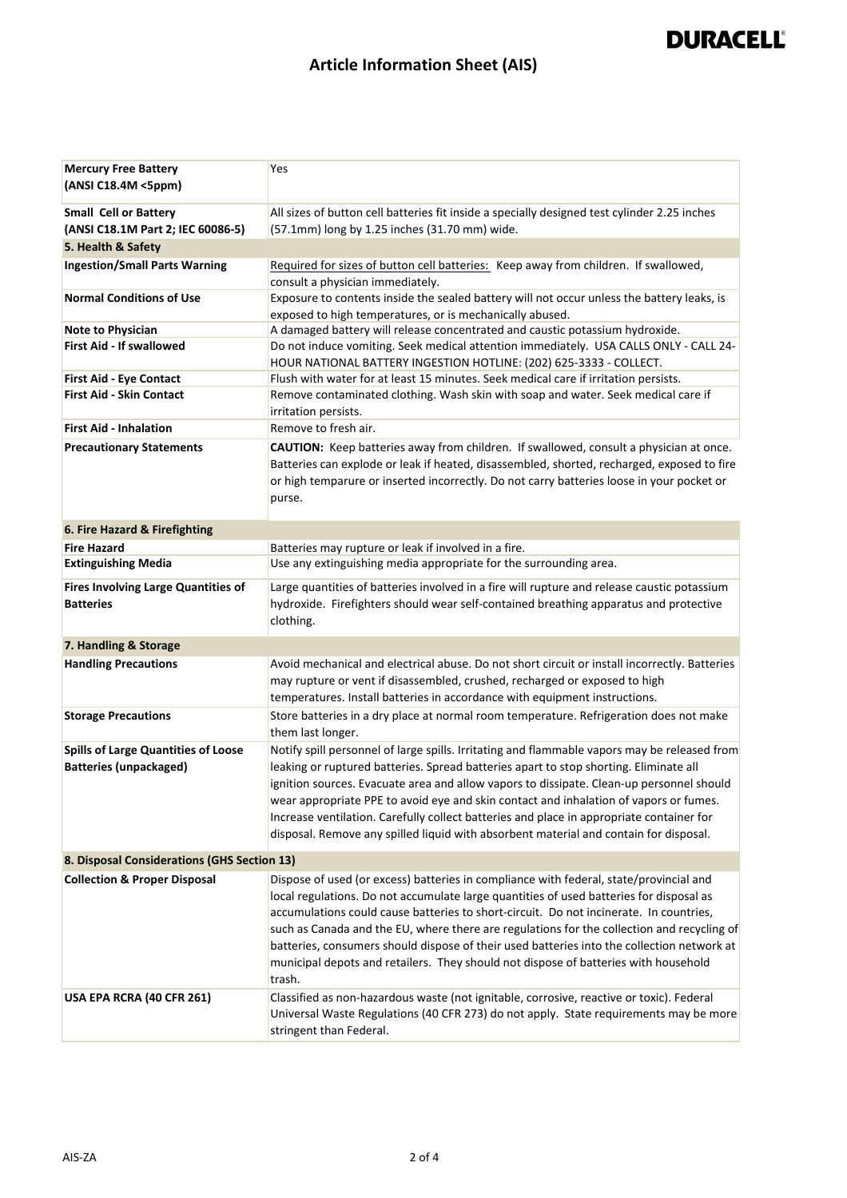# **DURACELL®**

## **Article Information Sheet (AIS)**

| <b>Mercury Free Battery</b><br>(ANSI C18.4M <5ppm)                          | Yes                                                                                                                                                                                                                                                                                                                                                                                                                                                                                                                                                                      |
|-----------------------------------------------------------------------------|--------------------------------------------------------------------------------------------------------------------------------------------------------------------------------------------------------------------------------------------------------------------------------------------------------------------------------------------------------------------------------------------------------------------------------------------------------------------------------------------------------------------------------------------------------------------------|
| <b>Small Cell or Battery</b>                                                | All sizes of button cell batteries fit inside a specially designed test cylinder 2.25 inches                                                                                                                                                                                                                                                                                                                                                                                                                                                                             |
| (ANSI C18.1M Part 2; IEC 60086-5)                                           | (57.1mm) long by 1.25 inches (31.70 mm) wide.                                                                                                                                                                                                                                                                                                                                                                                                                                                                                                                            |
| 5. Health & Safety                                                          |                                                                                                                                                                                                                                                                                                                                                                                                                                                                                                                                                                          |
| <b>Ingestion/Small Parts Warning</b>                                        | Required for sizes of button cell batteries: Keep away from children. If swallowed,                                                                                                                                                                                                                                                                                                                                                                                                                                                                                      |
|                                                                             | consult a physician immediately.                                                                                                                                                                                                                                                                                                                                                                                                                                                                                                                                         |
| <b>Normal Conditions of Use</b>                                             | Exposure to contents inside the sealed battery will not occur unless the battery leaks, is                                                                                                                                                                                                                                                                                                                                                                                                                                                                               |
|                                                                             | exposed to high temperatures, or is mechanically abused.                                                                                                                                                                                                                                                                                                                                                                                                                                                                                                                 |
| <b>Note to Physician</b>                                                    | A damaged battery will release concentrated and caustic potassium hydroxide.                                                                                                                                                                                                                                                                                                                                                                                                                                                                                             |
| <b>First Aid - If swallowed</b>                                             | Do not induce vomiting. Seek medical attention immediately. USA CALLS ONLY - CALL 24-<br>HOUR NATIONAL BATTERY INGESTION HOTLINE: (202) 625-3333 - COLLECT.                                                                                                                                                                                                                                                                                                                                                                                                              |
| First Aid - Eye Contact                                                     | Flush with water for at least 15 minutes. Seek medical care if irritation persists.                                                                                                                                                                                                                                                                                                                                                                                                                                                                                      |
| <b>First Aid - Skin Contact</b>                                             | Remove contaminated clothing. Wash skin with soap and water. Seek medical care if<br>irritation persists.                                                                                                                                                                                                                                                                                                                                                                                                                                                                |
| <b>First Aid - Inhalation</b>                                               | Remove to fresh air.                                                                                                                                                                                                                                                                                                                                                                                                                                                                                                                                                     |
| <b>Precautionary Statements</b>                                             | CAUTION: Keep batteries away from children. If swallowed, consult a physician at once.                                                                                                                                                                                                                                                                                                                                                                                                                                                                                   |
|                                                                             | Batteries can explode or leak if heated, disassembled, shorted, recharged, exposed to fire<br>or high temparure or inserted incorrectly. Do not carry batteries loose in your pocket or<br>purse.                                                                                                                                                                                                                                                                                                                                                                        |
| 6. Fire Hazard & Firefighting                                               |                                                                                                                                                                                                                                                                                                                                                                                                                                                                                                                                                                          |
| <b>Fire Hazard</b>                                                          | Batteries may rupture or leak if involved in a fire.                                                                                                                                                                                                                                                                                                                                                                                                                                                                                                                     |
| <b>Extinguishing Media</b>                                                  | Use any extinguishing media appropriate for the surrounding area.                                                                                                                                                                                                                                                                                                                                                                                                                                                                                                        |
| <b>Fires Involving Large Quantities of</b><br><b>Batteries</b>              | Large quantities of batteries involved in a fire will rupture and release caustic potassium<br>hydroxide. Firefighters should wear self-contained breathing apparatus and protective<br>clothing.                                                                                                                                                                                                                                                                                                                                                                        |
| 7. Handling & Storage                                                       |                                                                                                                                                                                                                                                                                                                                                                                                                                                                                                                                                                          |
| <b>Handling Precautions</b>                                                 | Avoid mechanical and electrical abuse. Do not short circuit or install incorrectly. Batteries<br>may rupture or vent if disassembled, crushed, recharged or exposed to high<br>temperatures. Install batteries in accordance with equipment instructions.                                                                                                                                                                                                                                                                                                                |
| <b>Storage Precautions</b>                                                  | Store batteries in a dry place at normal room temperature. Refrigeration does not make<br>them last longer.                                                                                                                                                                                                                                                                                                                                                                                                                                                              |
| <b>Spills of Large Quantities of Loose</b><br><b>Batteries (unpackaged)</b> | Notify spill personnel of large spills. Irritating and flammable vapors may be released from<br>leaking or ruptured batteries. Spread batteries apart to stop shorting. Eliminate all<br>ignition sources. Evacuate area and allow vapors to dissipate. Clean-up personnel should<br>wear appropriate PPE to avoid eye and skin contact and inhalation of vapors or fumes.<br>Increase ventilation. Carefully collect batteries and place in appropriate container for<br>disposal. Remove any spilled liquid with absorbent material and contain for disposal.          |
| 8. Disposal Considerations (GHS Section 13)                                 |                                                                                                                                                                                                                                                                                                                                                                                                                                                                                                                                                                          |
| <b>Collection &amp; Proper Disposal</b>                                     | Dispose of used (or excess) batteries in compliance with federal, state/provincial and<br>local regulations. Do not accumulate large quantities of used batteries for disposal as<br>accumulations could cause batteries to short-circuit. Do not incinerate. In countries,<br>such as Canada and the EU, where there are regulations for the collection and recycling of<br>batteries, consumers should dispose of their used batteries into the collection network at<br>municipal depots and retailers. They should not dispose of batteries with household<br>trash. |
| USA EPA RCRA (40 CFR 261)                                                   | Classified as non-hazardous waste (not ignitable, corrosive, reactive or toxic). Federal<br>Universal Waste Regulations (40 CFR 273) do not apply. State requirements may be more<br>stringent than Federal.                                                                                                                                                                                                                                                                                                                                                             |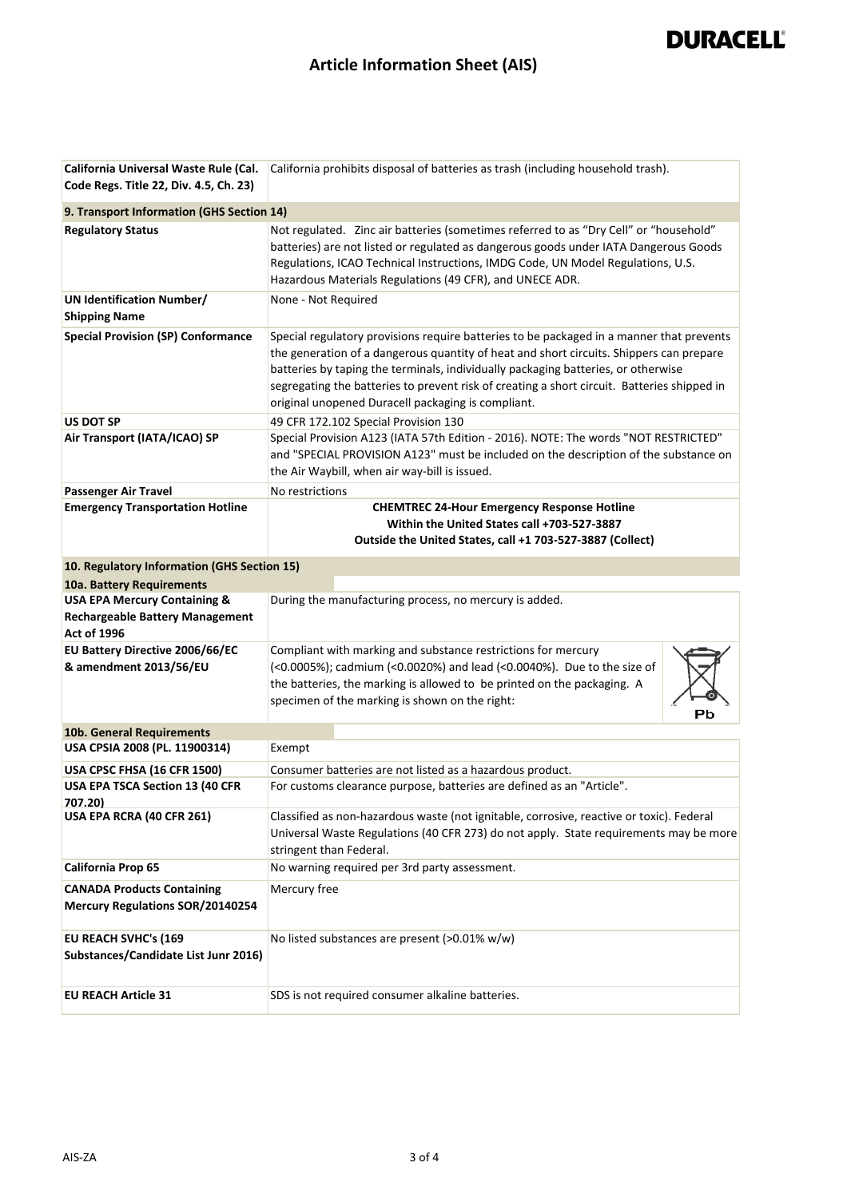# **DURACELL®**

## **Article Information Sheet (AIS)**

| California Universal Waste Rule (Cal.                                        | California prohibits disposal of batteries as trash (including household trash).                                                                                                                                                                                                                                                                                                                                              |
|------------------------------------------------------------------------------|-------------------------------------------------------------------------------------------------------------------------------------------------------------------------------------------------------------------------------------------------------------------------------------------------------------------------------------------------------------------------------------------------------------------------------|
| Code Regs. Title 22, Div. 4.5, Ch. 23)                                       |                                                                                                                                                                                                                                                                                                                                                                                                                               |
| 9. Transport Information (GHS Section 14)                                    |                                                                                                                                                                                                                                                                                                                                                                                                                               |
| <b>Regulatory Status</b>                                                     | Not regulated. Zinc air batteries (sometimes referred to as "Dry Cell" or "household"<br>batteries) are not listed or regulated as dangerous goods under IATA Dangerous Goods<br>Regulations, ICAO Technical Instructions, IMDG Code, UN Model Regulations, U.S.<br>Hazardous Materials Regulations (49 CFR), and UNECE ADR.                                                                                                  |
| <b>UN Identification Number/</b>                                             | None - Not Required                                                                                                                                                                                                                                                                                                                                                                                                           |
| <b>Shipping Name</b>                                                         |                                                                                                                                                                                                                                                                                                                                                                                                                               |
| <b>Special Provision (SP) Conformance</b>                                    | Special regulatory provisions require batteries to be packaged in a manner that prevents<br>the generation of a dangerous quantity of heat and short circuits. Shippers can prepare<br>batteries by taping the terminals, individually packaging batteries, or otherwise<br>segregating the batteries to prevent risk of creating a short circuit. Batteries shipped in<br>original unopened Duracell packaging is compliant. |
| <b>US DOT SP</b>                                                             | 49 CFR 172.102 Special Provision 130                                                                                                                                                                                                                                                                                                                                                                                          |
| Air Transport (IATA/ICAO) SP                                                 | Special Provision A123 (IATA 57th Edition - 2016). NOTE: The words "NOT RESTRICTED"<br>and "SPECIAL PROVISION A123" must be included on the description of the substance on<br>the Air Waybill, when air way-bill is issued.                                                                                                                                                                                                  |
| Passenger Air Travel                                                         | No restrictions                                                                                                                                                                                                                                                                                                                                                                                                               |
| <b>Emergency Transportation Hotline</b>                                      | <b>CHEMTREC 24-Hour Emergency Response Hotline</b><br>Within the United States call +703-527-3887<br>Outside the United States, call +1 703-527-3887 (Collect)                                                                                                                                                                                                                                                                |
|                                                                              |                                                                                                                                                                                                                                                                                                                                                                                                                               |
| 10. Regulatory Information (GHS Section 15)                                  |                                                                                                                                                                                                                                                                                                                                                                                                                               |
| 10a. Battery Requirements<br><b>USA EPA Mercury Containing &amp;</b>         | During the manufacturing process, no mercury is added.                                                                                                                                                                                                                                                                                                                                                                        |
| <b>Rechargeable Battery Management</b><br><b>Act of 1996</b>                 |                                                                                                                                                                                                                                                                                                                                                                                                                               |
| EU Battery Directive 2006/66/EC                                              | Compliant with marking and substance restrictions for mercury                                                                                                                                                                                                                                                                                                                                                                 |
| & amendment 2013/56/EU                                                       | (<0.0005%); cadmium (<0.0020%) and lead (<0.0040%). Due to the size of<br>the batteries, the marking is allowed to be printed on the packaging. A<br>specimen of the marking is shown on the right:<br>Pb                                                                                                                                                                                                                     |
| 10b. General Requirements                                                    |                                                                                                                                                                                                                                                                                                                                                                                                                               |
| USA CPSIA 2008 (PL. 11900314)                                                | Exempt                                                                                                                                                                                                                                                                                                                                                                                                                        |
| USA CPSC FHSA (16 CFR 1500)                                                  | Consumer batteries are not listed as a hazardous product.                                                                                                                                                                                                                                                                                                                                                                     |
| USA EPA TSCA Section 13 (40 CFR<br>707.20)                                   | For customs clearance purpose, batteries are defined as an "Article".                                                                                                                                                                                                                                                                                                                                                         |
| USA EPA RCRA (40 CFR 261)                                                    | Classified as non-hazardous waste (not ignitable, corrosive, reactive or toxic). Federal<br>Universal Waste Regulations (40 CFR 273) do not apply. State requirements may be more<br>stringent than Federal.                                                                                                                                                                                                                  |
| California Prop 65                                                           | No warning required per 3rd party assessment.                                                                                                                                                                                                                                                                                                                                                                                 |
| <b>CANADA Products Containing</b><br><b>Mercury Regulations SOR/20140254</b> | Mercury free                                                                                                                                                                                                                                                                                                                                                                                                                  |
| EU REACH SVHC's (169<br>Substances/Candidate List Junr 2016)                 | No listed substances are present (>0.01% w/w)                                                                                                                                                                                                                                                                                                                                                                                 |
| <b>EU REACH Article 31</b>                                                   | SDS is not required consumer alkaline batteries.                                                                                                                                                                                                                                                                                                                                                                              |